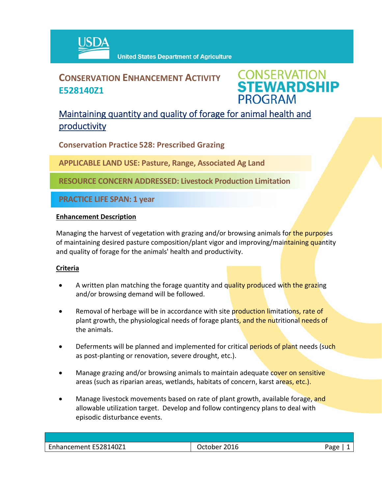

# **CONSERVATION ENHANCEMENT ACTIVITY E528140Z1**

**CONSERVATION<br>STEWARDSHIP PROGRAM** 

## Maintaining quantity and quality of forage for animal health and productivity

**Conservation Practice 528: Prescribed Grazing**

**APPLICABLE LAND USE: Pasture, Range, Associated Ag Land**

**RESOURCE CONCERN ADDRESSED: Livestock Production Limitation**

**PRACTICE LIFE SPAN: 1 year**

### **Enhancement Description**

Managing the harvest of vegetation with grazing and/or browsing animals for the purposes of maintaining desired pasture composition/plant vigor and improving/maintaining quantity and quality of forage for the animals' health and productivity.

### **Criteria**

- A written plan matching the forage quantity and quality produced with the grazing and/or browsing demand will be followed.
- Removal of herbage will be in accordance with site production limitations, rate of plant growth, the physiological needs of forage plants, and the nutritional needs of the animals.
- Deferments will be planned and implemented for critical periods of plant needs (such as post‐planting or renovation, severe drought, etc.).
- Manage grazing and/or browsing animals to maintain adequate cover on sensitive areas (such as riparian areas, wetlands, habitats of concern, karst areas, etc.).
- Manage livestock movements based on rate of plant growth, available forage, and allowable utilization target. Develop and follow contingency plans to deal with episodic disturbance events.

| Enhancement E528140Z1 | 2016<br>October | مەدد |
|-----------------------|-----------------|------|
|                       |                 |      |